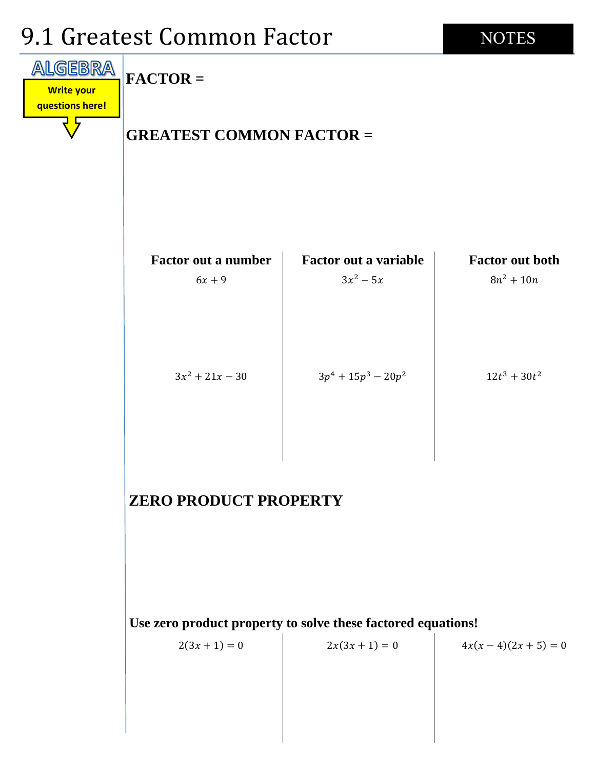# 9.1 Greatest Common Factor



**NOTES** 

### **ZERO PRODUCT PROPERTY**

**Use zero product property to solve these factored equations!**

 $2(3x + 1) = 0$   $2x(3x + 1) = 0$   $4x(x-4)(2x+5) = 0$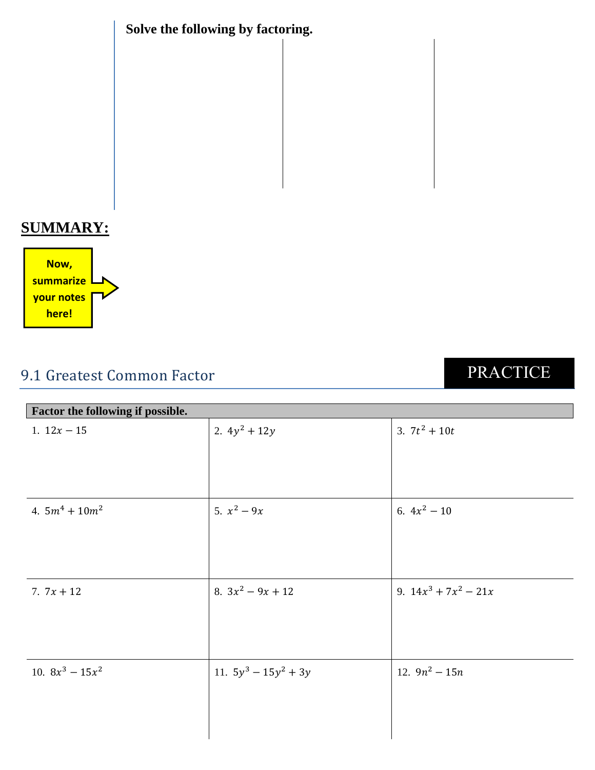**Solve the following by factoring.**

## **SUMMARY:**



# 9.1 Greatest Common Factor

# PRACTICE

| Factor the following if possible. |                         |                         |  |  |
|-----------------------------------|-------------------------|-------------------------|--|--|
| 1. $12x - 15$                     | 2. $4y^2 + 12y$         | 3. $7t^2 + 10t$         |  |  |
|                                   |                         |                         |  |  |
|                                   |                         |                         |  |  |
| 4. $5m^4 + 10m^2$                 | 5. $x^2 - 9x$           | 6. $4x^2 - 10$          |  |  |
|                                   |                         |                         |  |  |
|                                   |                         |                         |  |  |
| 7. $7x + 12$                      | 8. $3x^2 - 9x + 12$     | 9. $14x^3 + 7x^2 - 21x$ |  |  |
|                                   |                         |                         |  |  |
|                                   |                         |                         |  |  |
| 10. $8x^3 - 15x^2$                | 11. $5y^3 - 15y^2 + 3y$ | 12. $9n^2 - 15n$        |  |  |
|                                   |                         |                         |  |  |
|                                   |                         |                         |  |  |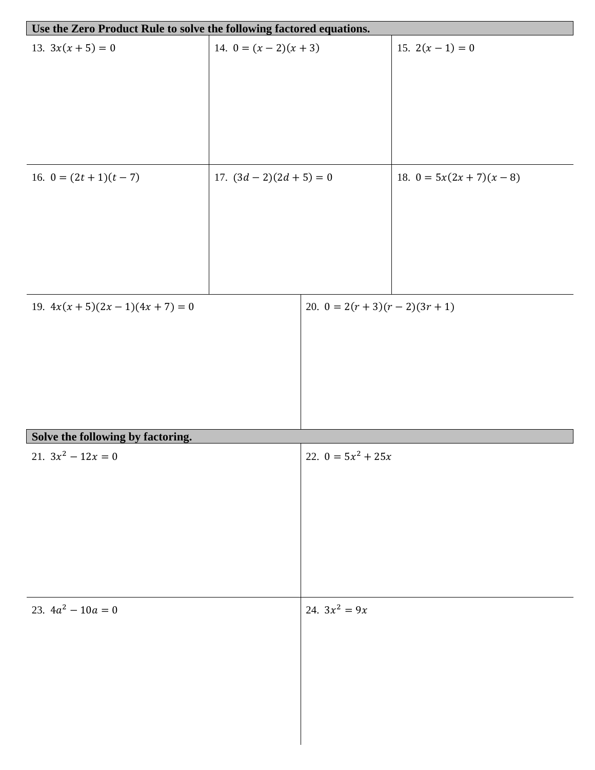| Use the Zero Product Rule to solve the following factored equations. |                            |                                   |                             |  |  |  |
|----------------------------------------------------------------------|----------------------------|-----------------------------------|-----------------------------|--|--|--|
| 13. $3x(x + 5) = 0$                                                  | 14. $0 = (x - 2)(x + 3)$   |                                   | 15. $2(x-1) = 0$            |  |  |  |
|                                                                      |                            |                                   |                             |  |  |  |
|                                                                      |                            |                                   |                             |  |  |  |
|                                                                      |                            |                                   |                             |  |  |  |
|                                                                      |                            |                                   |                             |  |  |  |
|                                                                      |                            |                                   |                             |  |  |  |
| 16. $0 = (2t + 1)(t - 7)$                                            |                            |                                   | 18. $0 = 5x(2x + 7)(x - 8)$ |  |  |  |
|                                                                      | 17. $(3d - 2)(2d + 5) = 0$ |                                   |                             |  |  |  |
|                                                                      |                            |                                   |                             |  |  |  |
|                                                                      |                            |                                   |                             |  |  |  |
|                                                                      |                            |                                   |                             |  |  |  |
|                                                                      |                            |                                   |                             |  |  |  |
|                                                                      |                            |                                   |                             |  |  |  |
| 19. $4x(x + 5)(2x - 1)(4x + 7) = 0$                                  |                            | 20. $0 = 2(r + 3)(r - 2)(3r + 1)$ |                             |  |  |  |
|                                                                      |                            |                                   |                             |  |  |  |
|                                                                      |                            |                                   |                             |  |  |  |
|                                                                      |                            |                                   |                             |  |  |  |
|                                                                      |                            |                                   |                             |  |  |  |
|                                                                      |                            |                                   |                             |  |  |  |
| Solve the following by factoring.                                    |                            |                                   |                             |  |  |  |
| 21. $3x^2 - 12x = 0$                                                 |                            | 22. $0 = 5x^2 + 25x$              |                             |  |  |  |
|                                                                      |                            |                                   |                             |  |  |  |
|                                                                      |                            |                                   |                             |  |  |  |
|                                                                      |                            |                                   |                             |  |  |  |
|                                                                      |                            |                                   |                             |  |  |  |
|                                                                      |                            |                                   |                             |  |  |  |
|                                                                      |                            |                                   |                             |  |  |  |
|                                                                      |                            |                                   |                             |  |  |  |
| 23. $4a^2 - 10a = 0$                                                 |                            | 24. $3x^2 = 9x$                   |                             |  |  |  |
|                                                                      |                            |                                   |                             |  |  |  |
|                                                                      |                            |                                   |                             |  |  |  |
|                                                                      |                            |                                   |                             |  |  |  |
|                                                                      |                            |                                   |                             |  |  |  |
|                                                                      |                            |                                   |                             |  |  |  |
|                                                                      |                            |                                   |                             |  |  |  |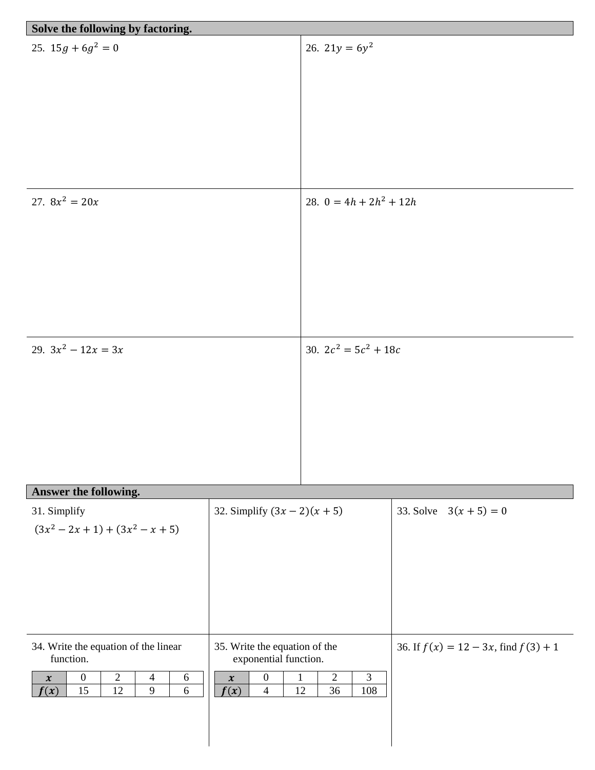| Solve the following by factoring.                                                                                                                                                       |                                                                                                                                                          |                                               |                                           |
|-----------------------------------------------------------------------------------------------------------------------------------------------------------------------------------------|----------------------------------------------------------------------------------------------------------------------------------------------------------|-----------------------------------------------|-------------------------------------------|
| 25. $15g + 6g^2 = 0$                                                                                                                                                                    |                                                                                                                                                          | 26. $21y = 6y^2$                              |                                           |
| 27. $8x^2 = 20x$                                                                                                                                                                        |                                                                                                                                                          | 28. $0 = 4h + 2h^2 + 12h$                     |                                           |
| 29. $3x^2 - 12x = 3x$                                                                                                                                                                   |                                                                                                                                                          | 30. $2c^2 = 5c^2 + 18c$                       |                                           |
| Answer the following.                                                                                                                                                                   |                                                                                                                                                          |                                               |                                           |
| 31. Simplify<br>$(3x^2 - 2x + 1) + (3x^2 - x + 5)$                                                                                                                                      | 32. Simplify $(3x - 2)(x + 5)$                                                                                                                           |                                               | 33. Solve $3(x + 5) = 0$                  |
| 34. Write the equation of the linear<br>function.<br>$\overline{2}$<br>$\boldsymbol{0}$<br>$\overline{4}$<br>6<br>$\boldsymbol{\mathcal{X}}$<br>9<br>15<br>12<br>$\overline{6}$<br>f(x) | 35. Write the equation of the<br>exponential function.<br>$\boldsymbol{0}$<br>$\mathbf{1}$<br>$\boldsymbol{\mathcal{X}}$<br>f(x)<br>$\overline{4}$<br>12 | $\overline{2}$<br>$\overline{3}$<br>36<br>108 | 36. If $f(x) = 12 - 3x$ , find $f(3) + 1$ |